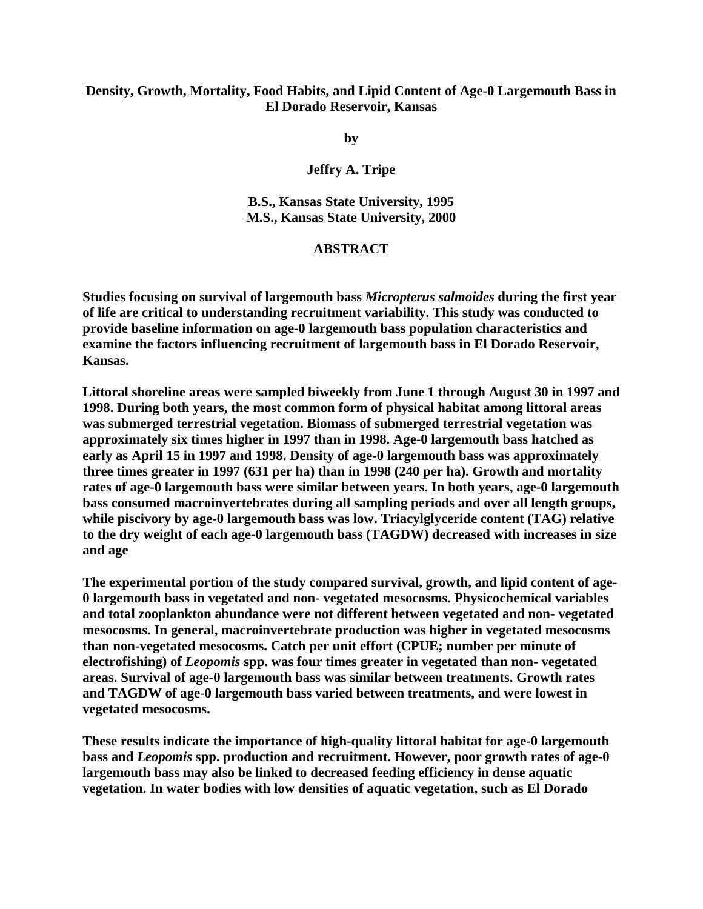## **Density, Growth, Mortality, Food Habits, and Lipid Content of Age-0 Largemouth Bass in El Dorado Reservoir, Kansas**

**by**

**Jeffry A. Tripe**

**B.S., Kansas State University, 1995 M.S., Kansas State University, 2000** 

## **ABSTRACT**

**Studies focusing on survival of largemouth bass** *Micropterus salmoides* **during the first year of life are critical to understanding recruitment variability. This study was conducted to provide baseline information on age-0 largemouth bass population characteristics and examine the factors influencing recruitment of largemouth bass in El Dorado Reservoir, Kansas.**

**Littoral shoreline areas were sampled biweekly from June 1 through August 30 in 1997 and 1998. During both years, the most common form of physical habitat among littoral areas was submerged terrestrial vegetation. Biomass of submerged terrestrial vegetation was approximately six times higher in 1997 than in 1998. Age-0 largemouth bass hatched as early as April 15 in 1997 and 1998. Density of age-0 largemouth bass was approximately three times greater in 1997 (631 per ha) than in 1998 (240 per ha). Growth and mortality rates of age-0 largemouth bass were similar between years. In both years, age-0 largemouth bass consumed macroinvertebrates during all sampling periods and over all length groups, while piscivory by age-0 largemouth bass was low. Triacylglyceride content (TAG) relative to the dry weight of each age-0 largemouth bass (TAGDW) decreased with increases in size and age**

**The experimental portion of the study compared survival, growth, and lipid content of age-0 largemouth bass in vegetated and non- vegetated mesocosms. Physicochemical variables and total zooplankton abundance were not different between vegetated and non- vegetated mesocosms. In general, macroinvertebrate production was higher in vegetated mesocosms than non-vegetated mesocosms. Catch per unit effort (CPUE; number per minute of electrofishing) of** *Leopomis* **spp. was four times greater in vegetated than non- vegetated areas. Survival of age-0 largemouth bass was similar between treatments. Growth rates and TAGDW of age-0 largemouth bass varied between treatments, and were lowest in vegetated mesocosms.**

**These results indicate the importance of high-quality littoral habitat for age-0 largemouth bass and** *Leopomis* **spp. production and recruitment. However, poor growth rates of age-0 largemouth bass may also be linked to decreased feeding efficiency in dense aquatic vegetation. In water bodies with low densities of aquatic vegetation, such as El Dorado**